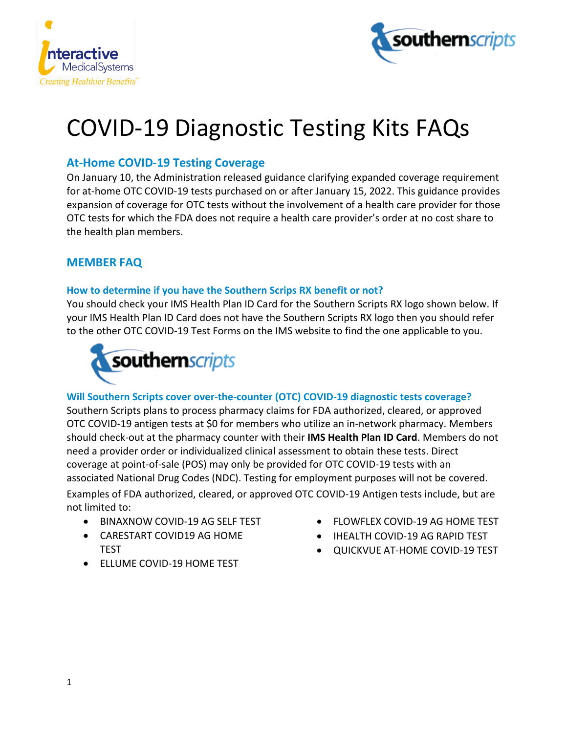



# COVID-19 Diagnostic Testing Kits FAQs

# **At-Home COVID-19 Testing Coverage**

On January 10, the Administration released guidance clarifying expanded coverage requirement for at-home OTC COVID-19 tests purchased on or after January 15, 2022. This guidance provides expansion of coverage for OTC tests without the involvement of a health care provider for those OTC tests for which the FDA does not require a health care provider's order at no cost share to the health plan members.

# **MEMBER FAQ**

## **How to determine if you have the Southern Scrips RX benefit or not?**

You should check your IMS Health Plan ID Card for the Southern Scripts RX logo shown below. If your IMS Health Plan ID Card does not have the Southern Scripts RX logo then you should refer to the other OTC COVID-19 Test Forms on the IMS website to find the one applicable to you.



# **Will Southern Scripts cover over-the-counter (OTC) COVID-19 diagnostic tests coverage?**

Southern Scripts plans to process pharmacy claims for FDA authorized, cleared, or approved OTC COVID-19 antigen tests at \$0 for members who utilize an in-network pharmacy. Members should check-out at the pharmacy counter with their **IMS Health Plan ID Card**. Members do not need a provider order or individualized clinical assessment to obtain these tests. Direct coverage at point-of-sale (POS) may only be provided for OTC COVID-19 tests with an associated National Drug Codes (NDC). Testing for employment purposes will not be covered. Examples of FDA authorized, cleared, or approved OTC COVID-19 Antigen tests include, but are not limited to:

- BINAXNOW COVID-19 AG SELF TEST
- CARESTART COVID19 AG HOME TEST
- ELLUME COVID-19 HOME TEST
- FLOWFLEX COVID-19 AG HOME TEST
- IHEALTH COVID-19 AG RAPID TEST
- QUICKVUE AT-HOME COVID-19 TEST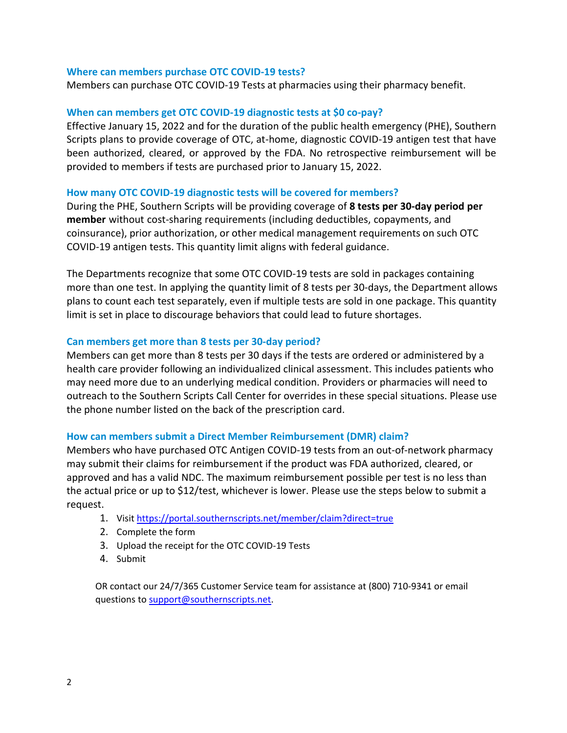#### **Where can members purchase OTC COVID-19 tests?**

Members can purchase OTC COVID-19 Tests at pharmacies using their pharmacy benefit.

#### **When can members get OTC COVID-19 diagnostic tests at \$0 co-pay?**

Effective January 15, 2022 and for the duration of the public health emergency (PHE), Southern Scripts plans to provide coverage of OTC, at-home, diagnostic COVID-19 antigen test that have been authorized, cleared, or approved by the FDA. No retrospective reimbursement will be provided to members if tests are purchased prior to January 15, 2022.

#### **How many OTC COVID-19 diagnostic tests will be covered for members?**

During the PHE, Southern Scripts will be providing coverage of **8 tests per 30-day period per member** without cost-sharing requirements (including deductibles, copayments, and coinsurance), prior authorization, or other medical management requirements on such OTC COVID-19 antigen tests. This quantity limit aligns with federal guidance.

The Departments recognize that some OTC COVID-19 tests are sold in packages containing more than one test. In applying the quantity limit of 8 tests per 30-days, the Department allows plans to count each test separately, even if multiple tests are sold in one package. This quantity limit is set in place to discourage behaviors that could lead to future shortages.

#### **Can members get more than 8 tests per 30-day period?**

Members can get more than 8 tests per 30 days if the tests are ordered or administered by a health care provider following an individualized clinical assessment. This includes patients who may need more due to an underlying medical condition. Providers or pharmacies will need to outreach to the Southern Scripts Call Center for overrides in these special situations. Please use the phone number listed on the back of the prescription card.

#### **How can members submit a Direct Member Reimbursement (DMR) claim?**

Members who have purchased OTC Antigen COVID-19 tests from an out-of-network pharmacy may submit their claims for reimbursement if the product was FDA authorized, cleared, or approved and has a valid NDC. The maximum reimbursement possible per test is no less than the actual price or up to \$12/test, whichever is lower. Please use the steps below to submit a request.

- 1. Visit<https://portal.southernscripts.net/member/claim?direct=true>
- 2. Complete the form
- 3. Upload the receipt for the OTC COVID-19 Tests
- 4. Submit

OR contact our 24/7/365 Customer Service team for assistance at (800) 710-9341 or email questions to [support@southernscripts.net.](mailto:support@southernscripts.net)